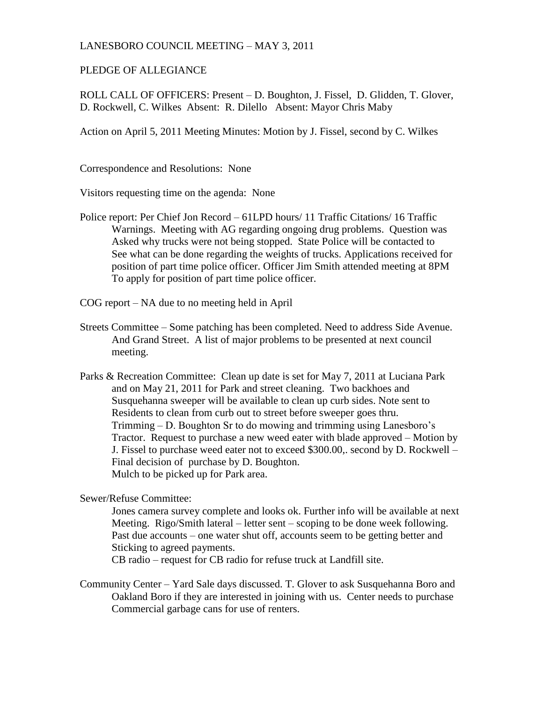## LANESBORO COUNCIL MEETING – MAY 3, 2011

## PLEDGE OF ALLEGIANCE

ROLL CALL OF OFFICERS: Present – D. Boughton, J. Fissel, D. Glidden, T. Glover, D. Rockwell, C. Wilkes Absent: R. Dilello Absent: Mayor Chris Maby

Action on April 5, 2011 Meeting Minutes: Motion by J. Fissel, second by C. Wilkes

Correspondence and Resolutions: None

Visitors requesting time on the agenda: None

Police report: Per Chief Jon Record – 61LPD hours/ 11 Traffic Citations/ 16 Traffic Warnings. Meeting with AG regarding ongoing drug problems. Question was Asked why trucks were not being stopped. State Police will be contacted to See what can be done regarding the weights of trucks. Applications received for position of part time police officer. Officer Jim Smith attended meeting at 8PM To apply for position of part time police officer.

COG report – NA due to no meeting held in April

- Streets Committee Some patching has been completed. Need to address Side Avenue. And Grand Street. A list of major problems to be presented at next council meeting.
- Parks & Recreation Committee: Clean up date is set for May 7, 2011 at Luciana Park and on May 21, 2011 for Park and street cleaning. Two backhoes and Susquehanna sweeper will be available to clean up curb sides. Note sent to Residents to clean from curb out to street before sweeper goes thru. Trimming – D. Boughton Sr to do mowing and trimming using Lanesboro's Tractor. Request to purchase a new weed eater with blade approved – Motion by J. Fissel to purchase weed eater not to exceed \$300.00,. second by D. Rockwell – Final decision of purchase by D. Boughton. Mulch to be picked up for Park area.

Sewer/Refuse Committee:

Jones camera survey complete and looks ok. Further info will be available at next Meeting. Rigo/Smith lateral – letter sent – scoping to be done week following. Past due accounts – one water shut off, accounts seem to be getting better and Sticking to agreed payments.

CB radio – request for CB radio for refuse truck at Landfill site.

Community Center – Yard Sale days discussed. T. Glover to ask Susquehanna Boro and Oakland Boro if they are interested in joining with us. Center needs to purchase Commercial garbage cans for use of renters.